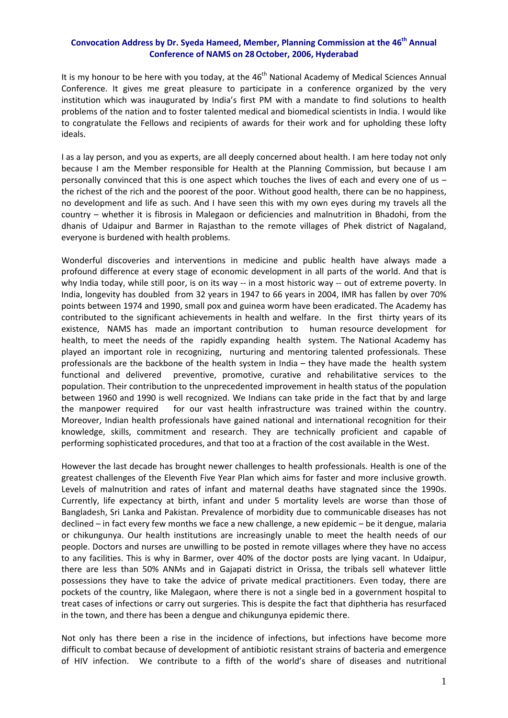## **Convocation Address by Dr. Syeda Hameed, Member, Planning Commission at the 46th Annual Conference of NAMS on 28October, 2006, Hyderabad**

It is my honour to be here with you today, at the  $46<sup>th</sup>$  National Academy of Medical Sciences Annual Conference. It gives me great pleasure to participate in a conference organized by the very institution which was inaugurated by India's first PM with a mandate to find solutions to health problems of the nation and to foster talented medical and biomedical scientists in India. I would like to congratulate the Fellows and recipients of awards for their work and for upholding these lofty ideals.

I as a lay person, and you as experts, are all deeply concerned about health. I am here today not only because I am the Member responsible for Health at the Planning Commission, but because I am personally convinced that this is one aspect which touches the lives of each and every one of us – the richest of the rich and the poorest of the poor. Without good health, there can be no happiness, no development and life as such. And I have seen this with my own eyes during my travels all the country – whether it is fibrosis in Malegaon or deficiencies and malnutrition in Bhadohi, from the dhanis of Udaipur and Barmer in Rajasthan to the remote villages of Phek district of Nagaland, everyone is burdened with health problems.

Wonderful discoveries and interventions in medicine and public health have always made a profound difference at every stage of economic development in all parts of the world. And that is why India today, while still poor, is on its way -- in a most historic way -- out of extreme poverty. In India, longevity has doubled from 32 years in 1947 to 66 years in 2004, IMR has fallen by over 70% points between 1974 and 1990, small pox and guinea worm have been eradicated. The Academy has contributed to the significant achievements in health and welfare. In the first thirty years of its existence, NAMS has made an important contribution to human resource development for health, to meet the needs of the rapidly expanding health system. The National Academy has played an important role in recognizing, nurturing and mentoring talented professionals. These professionals are the backbone of the health system in India – they have made the health system functional and delivered preventive, promotive, curative and rehabilitative services to the population. Their contribution to the unprecedented improvement in health status of the population between 1960 and 1990 is well recognized. We Indians can take pride in the fact that by and large the manpower required for our vast health infrastructure was trained within the country. Moreover, Indian health professionals have gained national and international recognition for their knowledge, skills, commitment and research. They are technically proficient and capable of performing sophisticated procedures, and that too at a fraction of the cost available in the West.

However the last decade has brought newer challenges to health professionals. Health is one of the greatest challenges of the Eleventh Five Year Plan which aims for faster and more inclusive growth. Levels of malnutrition and rates of infant and maternal deaths have stagnated since the 1990s. Currently, life expectancy at birth, infant and under 5 mortality levels are worse than those of Bangladesh, Sri Lanka and Pakistan. Prevalence of morbidity due to communicable diseases has not declined – in fact every few months we face a new challenge, a new epidemic – be it dengue, malaria or chikungunya. Our health institutions are increasingly unable to meet the health needs of our people. Doctors and nurses are unwilling to be posted in remote villages where they have no access to any facilities. This is why in Barmer, over 40% of the doctor posts are lying vacant. In Udaipur, there are less than 50% ANMs and in Gajapati district in Orissa, the tribals sell whatever little possessions they have to take the advice of private medical practitioners. Even today, there are pockets of the country, like Malegaon, where there is not a single bed in a government hospital to treat cases of infections or carry out surgeries. This is despite the fact that diphtheria has resurfaced in the town, and there has been a dengue and chikungunya epidemic there.

Not only has there been a rise in the incidence of infections, but infections have become more difficult to combat because of development of antibiotic resistant strains of bacteria and emergence of HIV infection. We contribute to a fifth of the world's share of diseases and nutritional